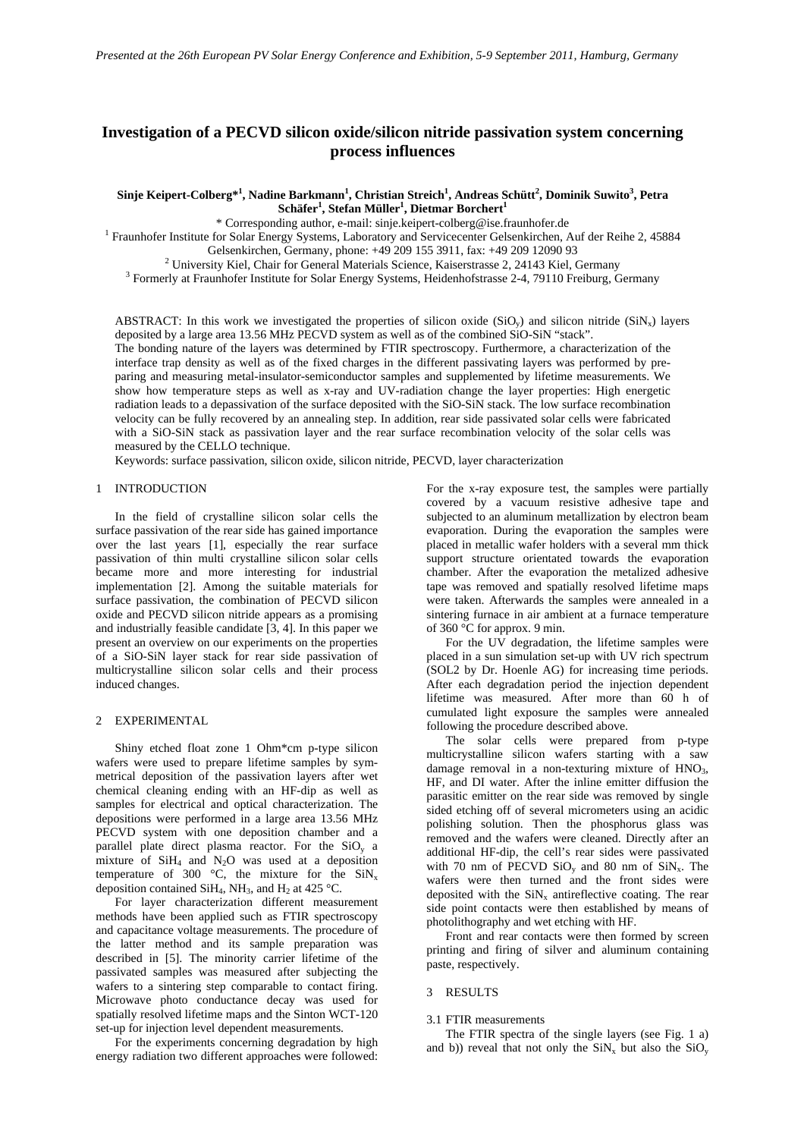# **Investigation of a PECVD silicon oxide/silicon nitride passivation system concerning process influences**

**Sinje Keipert-Colberg\*1 , Nadine Barkmann<sup>1</sup> , Christian Streich1 , Andreas Schütt<sup>2</sup> , Dominik Suwito<sup>3</sup> , Petra**   $\mathbf{S}$ chäfer $^1$ , Stefan Müller $^1$ , Dietmar Borchert $^1$ 

\* Corresponding author, e-mail: sinje.keipert-colberg@ise.fraunhofer.de 1

Fraunhofer Institute for Solar Energy Systems, Laboratory and Servicecenter Gelsenkirchen, Auf der Reihe 2, 45884

Gelsenkirchen, Germany, phone: +49 209 155 3911, fax: +49 209 12090 93 2

<sup>2</sup> University Kiel, Chair for General Materials Science, Kaiserstrasse 2, 24143 Kiel, Germany

<sup>3</sup> Formerly at Fraunhofer Institute for Solar Energy Systems, Heidenhofstrasse 2-4, 79110 Freiburg, Germany

ABSTRACT: In this work we investigated the properties of silicon oxide ( $SiO<sub>v</sub>$ ) and silicon nitride ( $SiN<sub>v</sub>$ ) layers deposited by a large area 13.56 MHz PECVD system as well as of the combined SiO-SiN "stack". The bonding nature of the layers was determined by FTIR spectroscopy. Furthermore, a characterization of the interface trap density as well as of the fixed charges in the different passivating layers was performed by preparing and measuring metal-insulator-semiconductor samples and supplemented by lifetime measurements. We show how temperature steps as well as x-ray and UV-radiation change the layer properties: High energetic radiation leads to a depassivation of the surface deposited with the SiO-SiN stack. The low surface recombination velocity can be fully recovered by an annealing step. In addition, rear side passivated solar cells were fabricated with a SiO-SiN stack as passivation layer and the rear surface recombination velocity of the solar cells was

Keywords: surface passivation, silicon oxide, silicon nitride, PECVD, layer characterization

#### 1 INTRODUCTION

measured by the CELLO technique.

 In the field of crystalline silicon solar cells the surface passivation of the rear side has gained importance over the last years [1], especially the rear surface passivation of thin multi crystalline silicon solar cells became more and more interesting for industrial implementation [2]. Among the suitable materials for surface passivation, the combination of PECVD silicon oxide and PECVD silicon nitride appears as a promising and industrially feasible candidate [3, 4]. In this paper we present an overview on our experiments on the properties of a SiO-SiN layer stack for rear side passivation of multicrystalline silicon solar cells and their process induced changes.

## 2 EXPERIMENTAL

 Shiny etched float zone 1 Ohm\*cm p-type silicon wafers were used to prepare lifetime samples by symmetrical deposition of the passivation layers after wet chemical cleaning ending with an HF-dip as well as samples for electrical and optical characterization. The depositions were performed in a large area 13.56 MHz PECVD system with one deposition chamber and a parallel plate direct plasma reactor. For the  $SiO<sub>v</sub>$  a mixture of  $SiH<sub>4</sub>$  and N<sub>2</sub>O was used at a deposition temperature of 300  $\degree$ C, the mixture for the SiN<sub>x</sub> deposition contained SiH<sub>4</sub>, NH<sub>3</sub>, and H<sub>2</sub> at 425 °C.

 For layer characterization different measurement methods have been applied such as FTIR spectroscopy and capacitance voltage measurements. The procedure of the latter method and its sample preparation was described in [5]. The minority carrier lifetime of the passivated samples was measured after subjecting the wafers to a sintering step comparable to contact firing. Microwave photo conductance decay was used for spatially resolved lifetime maps and the Sinton WCT-120 set-up for injection level dependent measurements.

 For the experiments concerning degradation by high energy radiation two different approaches were followed: For the x-ray exposure test, the samples were partially covered by a vacuum resistive adhesive tape and subjected to an aluminum metallization by electron beam evaporation. During the evaporation the samples were placed in metallic wafer holders with a several mm thick support structure orientated towards the evaporation chamber. After the evaporation the metalized adhesive tape was removed and spatially resolved lifetime maps were taken. Afterwards the samples were annealed in a sintering furnace in air ambient at a furnace temperature of 360 °C for approx. 9 min.

 For the UV degradation, the lifetime samples were placed in a sun simulation set-up with UV rich spectrum (SOL2 by Dr. Hoenle AG) for increasing time periods. After each degradation period the injection dependent lifetime was measured. After more than 60 h of cumulated light exposure the samples were annealed following the procedure described above.

 The solar cells were prepared from p-type multicrystalline silicon wafers starting with a saw damage removal in a non-texturing mixture of  $HNO<sub>3</sub>$ , HF, and DI water. After the inline emitter diffusion the parasitic emitter on the rear side was removed by single sided etching off of several micrometers using an acidic polishing solution. Then the phosphorus glass was removed and the wafers were cleaned. Directly after an additional HF-dip, the cell's rear sides were passivated with 70 nm of PECVD  $SiO_v$  and 80 nm of  $SiN_v$ . The wafers were then turned and the front sides were deposited with the  $\text{SiN}_x$  antireflective coating. The rear side point contacts were then established by means of photolithography and wet etching with HF.

 Front and rear contacts were then formed by screen printing and firing of silver and aluminum containing paste, respectively.

3 RESULTS

3.1 FTIR measurements

 The FTIR spectra of the single layers (see Fig. 1 a) and b)) reveal that not only the  $\text{SiN}_x$  but also the  $\text{SiO}_y$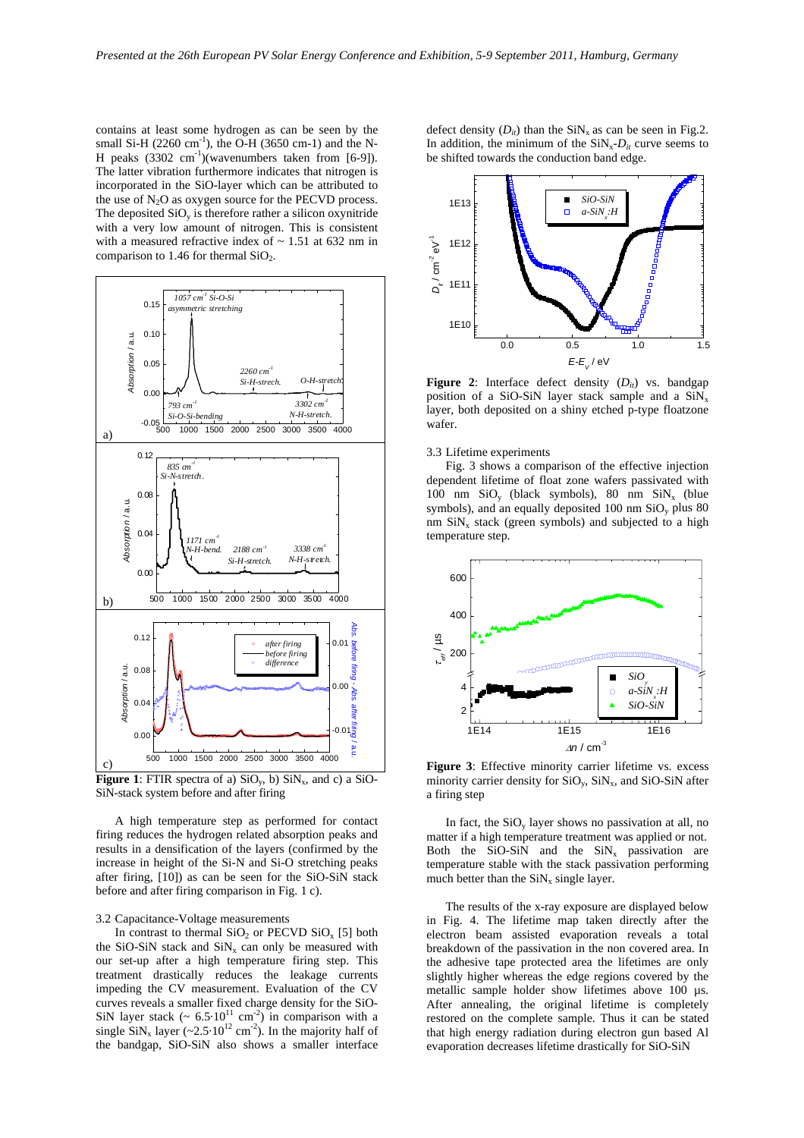contains at least some hydrogen as can be seen by the small Si-H (2260 cm<sup>-1</sup>), the O-H (3650 cm-1) and the N-H peaks  $(3302 \text{ cm}^{-1})$ (wavenumbers taken from [6-9]). The latter vibration furthermore indicates that nitrogen is incorporated in the SiO-layer which can be attributed to the use of  $N_2O$  as oxygen source for the PECVD process. The deposited  $SiO<sub>v</sub>$  is therefore rather a silicon oxynitride with a very low amount of nitrogen. This is consistent with a measured refractive index of  $\sim 1.51$  at 632 nm in comparison to 1.46 for thermal  $SiO<sub>2</sub>$ .



**Figure 1**: FTIR spectra of a)  $SiO_v$ , b)  $SiN_x$ , and c) a  $SiO$ -SiN-stack system before and after firing

 A high temperature step as performed for contact firing reduces the hydrogen related absorption peaks and results in a densification of the layers (confirmed by the increase in height of the Si-N and Si-O stretching peaks after firing, [10]) as can be seen for the SiO-SiN stack before and after firing comparison in Fig. 1 c).

# 3.2 Capacitance-Voltage measurements

In contrast to thermal  $SiO_2$  or PECVD  $SiO_x$  [5] both the SiO-SiN stack and  $\text{SiN}_x$  can only be measured with our set-up after a high temperature firing step. This treatment drastically reduces the leakage currents impeding the CV measurement. Evaluation of the CV curves reveals a smaller fixed charge density for the SiO-SiN layer stack ( $\sim 6.5 \cdot 10^{11}$  cm<sup>-2</sup>) in comparison with a single SiN<sub>x</sub> layer (~2.5·10<sup>12</sup> cm<sup>-2</sup>). In the majority half of the bandgap, SiO-SiN also shows a smaller interface

defect density  $(D_{it})$  than the  $\text{SiN}_x$  as can be seen in Fig.2. In addition, the minimum of the  $\sinh(y) D_{it}$  curve seems to be shifted towards the conduction band edge.



**Figure 2:** Interface defect density  $(D_{it})$  vs. bandgap position of a SiO-SiN layer stack sample and a  $\text{SiN}_x$ layer, both deposited on a shiny etched p-type floatzone wafer.

## 3.3 Lifetime experiments

 Fig. 3 shows a comparison of the effective injection dependent lifetime of float zone wafers passivated with 100 nm  $SiO<sub>y</sub>$  (black symbols), 80 nm  $SiN<sub>x</sub>$  (blue symbols), and an equally deposited 100 nm  $SiO<sub>v</sub>$  plus 80 nm  $\text{SiN}_x$  stack (green symbols) and subjected to a high temperature step.



**Figure 3**: Effective minority carrier lifetime vs. excess minority carrier density for  $SiO<sub>v</sub>$ ,  $SiN<sub>x</sub>$ , and  $SiO-SiN$  after a firing step

In fact, the  $SiO<sub>v</sub>$  layer shows no passivation at all, no matter if a high temperature treatment was applied or not. Both the  $SiO-SiN$  and the  $SiN_x$  passivation are temperature stable with the stack passivation performing much better than the  $\text{SiN}_x$  single layer.

 The results of the x-ray exposure are displayed below in Fig. 4. The lifetime map taken directly after the electron beam assisted evaporation reveals a total breakdown of the passivation in the non covered area. In the adhesive tape protected area the lifetimes are only slightly higher whereas the edge regions covered by the metallic sample holder show lifetimes above 100 us. After annealing, the original lifetime is completely restored on the complete sample. Thus it can be stated that high energy radiation during electron gun based Al evaporation decreases lifetime drastically for SiO-SiN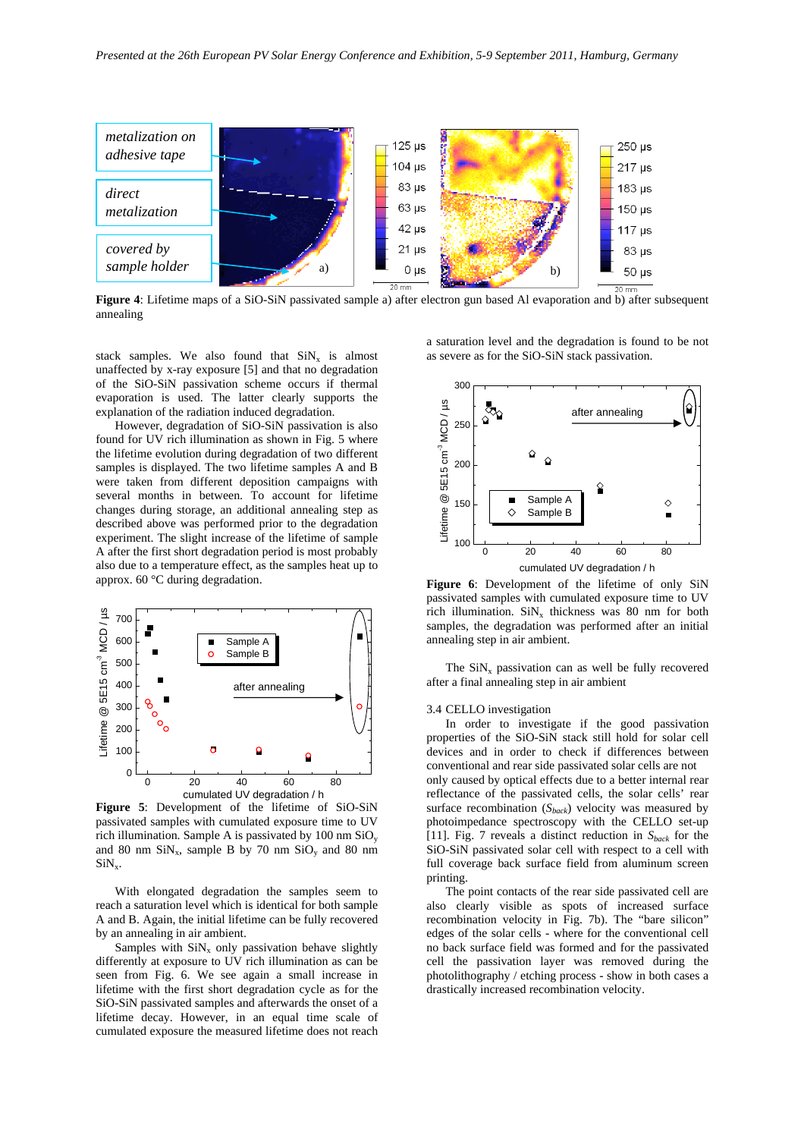

**Figure 4**: Lifetime maps of a SiO-SiN passivated sample a) after electron gun based Al evaporation and b) after subsequent annealing

stack samples. We also found that  $SiN_x$  is almost unaffected by x-ray exposure [5] and that no degradation of the SiO-SiN passivation scheme occurs if thermal evaporation is used. The latter clearly supports the explanation of the radiation induced degradation.

 However, degradation of SiO-SiN passivation is also found for UV rich illumination as shown in Fig. 5 where the lifetime evolution during degradation of two different samples is displayed. The two lifetime samples A and B were taken from different deposition campaigns with several months in between. To account for lifetime changes during storage, an additional annealing step as described above was performed prior to the degradation experiment. The slight increase of the lifetime of sample A after the first short degradation period is most probably also due to a temperature effect, as the samples heat up to approx. 60 °C during degradation.



**Figure 5**: Development of the lifetime of SiO-SiN passivated samples with cumulated exposure time to UV rich illumination. Sample A is passivated by  $100 \text{ nm SiO}_v$ and 80 nm  $\sin x$ , sample B by 70 nm  $\sin x$  and 80 nm  $SiN<sub>x</sub>$ .

 With elongated degradation the samples seem to reach a saturation level which is identical for both sample A and B. Again, the initial lifetime can be fully recovered by an annealing in air ambient.

Samples with  $\sin x$  only passivation behave slightly differently at exposure to UV rich illumination as can be seen from Fig. 6. We see again a small increase in lifetime with the first short degradation cycle as for the SiO-SiN passivated samples and afterwards the onset of a lifetime decay. However, in an equal time scale of cumulated exposure the measured lifetime does not reach a saturation level and the degradation is found to be not as severe as for the SiO-SiN stack passivation.



**Figure 6**: Development of the lifetime of only SiN passivated samples with cumulated exposure time to UV rich illumination.  $\text{SiN}_x$  thickness was 80 nm for both samples, the degradation was performed after an initial annealing step in air ambient.

The  $\sin X_x$  passivation can as well be fully recovered after a final annealing step in air ambient

#### 3.4 CELLO investigation

 In order to investigate if the good passivation properties of the SiO-SiN stack still hold for solar cell devices and in order to check if differences between conventional and rear side passivated solar cells are not only caused by optical effects due to a better internal rear reflectance of the passivated cells, the solar cells' rear surface recombination  $(S_{back})$  velocity was measured by photoimpedance spectroscopy with the CELLO set-up [11]. Fig. 7 reveals a distinct reduction in *Sback* for the SiO-SiN passivated solar cell with respect to a cell with full coverage back surface field from aluminum screen printing.

 The point contacts of the rear side passivated cell are also clearly visible as spots of increased surface recombination velocity in Fig. 7b). The "bare silicon" edges of the solar cells - where for the conventional cell no back surface field was formed and for the passivated cell the passivation layer was removed during the photolithography / etching process - show in both cases a drastically increased recombination velocity.